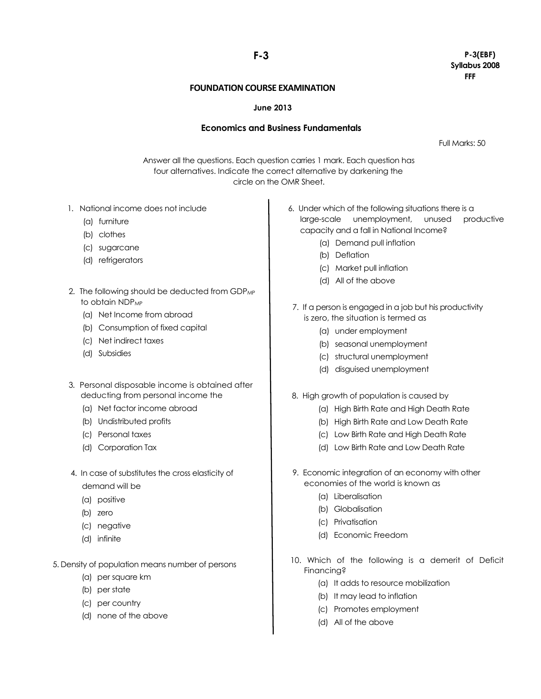# **F-3**

#### **P-3(EBF) Syllabus 2008 FFF**

# **FOUNDATION COURSE EXAMINATION**

## **June 2013**

## **Economics and Business Fundamentals**

Full Marks: 50

Answer all the questions. Each question carries 1 mark. Each question has four alternatives. Indicate the correct alternative by darkening the circle on the OMR Sheet.

- 1. National income does not include
	- (a) furniture
	- (b) clothes
	- (c) sugarcane
	- (d) refrigerators
- 2. The following should be deducted from GDP<sub>MP</sub> to obtain NDP<sub>MP</sub>
	- (a) Net Income from abroad
	- (b) Consumption of fixed capital
	- (c) Net indirect taxes
	- (d) Subsidies
- 3. Personal disposable income is obtained after deducting from personal income the
	- (a) Net factor income abroad
	- (b) Undistributed profits
	- (c) Personal taxes
	- (d) Corporation Tax
- 4. In case of substitutes the cross elasticity of demand will be
	- (a) positive
	- (b) zero
	- (c) negative
	- (d) infinite

5. Density of population means number of persons

- (a) per square km
- (b) per state
- (c) per country
- (d) none of the above
- 6. Under which of the following situations there is a large-scale unemployment, unused productive capacity and a fall in National Income?
	- (a) Demand pull inflation
	- (b) Deflation
	- (c) Market pull inflation
	- (d) All of the above
- 7. If a person is engaged in a job but his productivity is zero, the situation is termed as
	- (a) under employment
	- (b) seasonal unemployment
	- (c) structural unemployment
	- (d) disguised unemployment
- 8. High growth of population is caused by
	- (a) High Birth Rate and High Death Rate
	- (b) High Birth Rate and Low Death Rate
	- (c) Low Birth Rate and High Death Rate
	- (d) Low Birth Rate and Low Death Rate
- 9. Economic integration of an economy with other economies of the world is known as
	- (a) Liberalisation
	- (b) Globalisation
	- (c) Privatisation
	- (d) Economic Freedom
- 10. Which of the following is a demerit of Deficit Financing?
	- (a) It adds to resource mobilization
	- (b) It may lead to inflation
	- (c) Promotes employment
	- (d) All of the above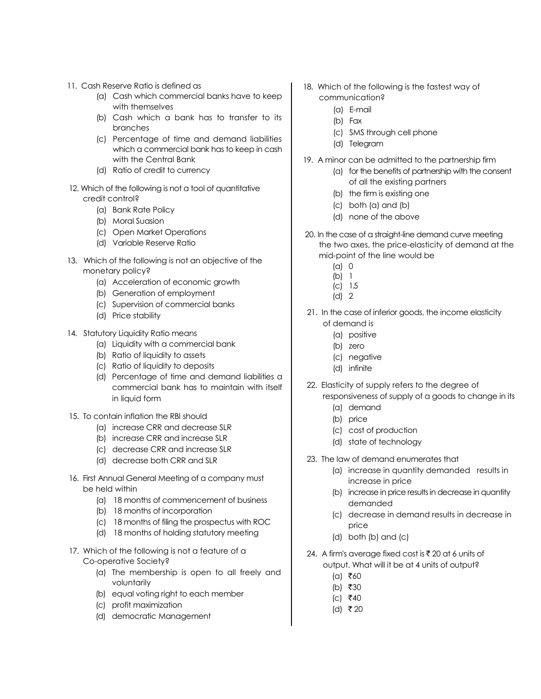- 11. Cash Reserve Ratio is defined as
	- (a) Cash which commercial banks have to keep with themselves
	- (b) Cash which a bank has to transfer to its branches
	- (c) Percentage of time and demand liabilities which a commercial bank has to keep in cash with the Central Bank
	- (d) Ratio of credit to currency
- 12. Which of the following is not a tool of quantitative credit control?
	- (a) Bank Rate Policy
	- (b) Moral Suasion
	- (c) Open Market Operations
	- (d) Variable Reserve Ratio
- 13. Which of the following is not an objective of the monetary policy?
	- (a) Acceleration of economic growth
	- (b) Generation of employment
	- (c) Supervision of commercial banks
	- (d) Price stability
- 14. Statutory Liquidity Ratio means
	- (a) Liquidity with a commercial bank
	- (b) Ratio of liquidity to assets
	- (c) Ratio of liquidity to deposits
	- (d) Percentage of time and demand liabilities a commercial bank has to maintain with itself in liquid form
- 15. To contain inflation the RBI should
	- (a) increase CRR and decrease SLR
	- (b) increase CRR and increase SLR
	- (c) decrease CRR and increase SLR
	- (d) decrease both CRR and SLR
- 16. First Annual General Meeting of a company must be held within
	- (a) 18 months of commencement of business
	- (b) 18 months of incorporation
	- (c) 18 months of filing the prospectus with ROC
	- (d) 18 months of holding statutory meeting
- 17. Which of the following is not a feature of a Co-operative Society?
	- (a) The membership is open to all freely and voluntarily
	- (b) equal voting right to each member
	- (c) profit maximization
	- (d) democratic Management
- 18. Which of the following is the fastest way of
	- communication?
		- (a) E-mail (b) Fax
		-
		- (c) SMS through cell phone
		- (d) Telegram
- 19. A minor can be admitted to the partnership firm
	- (a) for the benefits of partnership with the consent of all the existing partners
	- (b) the firm is existing one
	- (c) both (a) and (b)
	- (d) none of the above
- 20. In the case of a straight-line demand curve meeting the two axes, the price-elasticity of demand at the mid-point of the line would be
	- (a) 0
	- (b) 1
	- (c) 1.5
	- (d) 2
- 21. In the case of inferior goods, the income elasticity of demand is
	- (a) positive
	- (b) zero
	- (c) negative
	- (d) infinite
- 22. Elasticity of supply refers to the degree of responsiveness of supply of a goods to change in its
	- (a) demand
	- (b) price
	- (c) cost of production
	- (d) state of technology
- 23. The law of demand enumerates that
	- (a) increase in quantity demanded results in increase in price
	- (b) increase in price results in decrease in quantity demanded
	- (c) decrease in demand results in decrease in price
	- (d) both (b) and (c)
- 24. A firm's average fixed cost is  $\bar{\tau}$  20 at 6 units of
	- output. What will it be at 4 units of output?  $(a)$  ₹60
		- (b) ₹30
		- $(c)$  ₹40
		- (d) ₹20
	-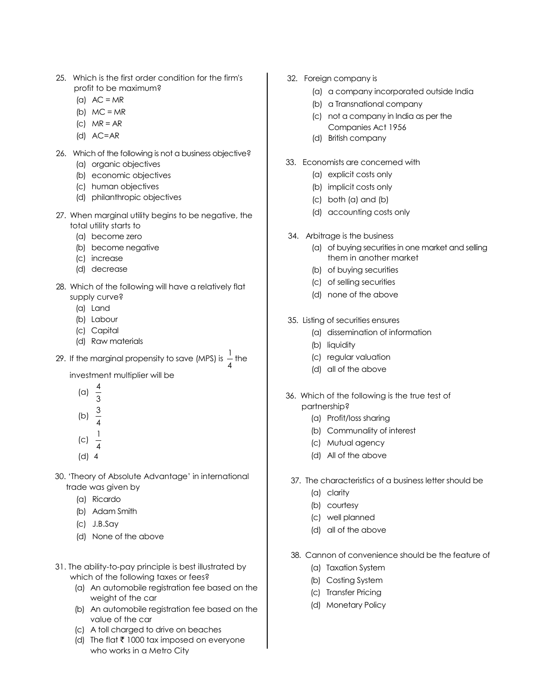- 25. Which is the first order condition for the firm's profit to be maximum?
	- (a)  $AC = MR$
	- (b)  $MC = MR$
	- $|C|$  MR = AR
	- (d) AC=AR
- 26. Which of the following is not a business objective?
	- (a) organic objectives
	- (b) economic objectives
	- (c) human objectives
	- (d) philanthropic objectives
- 27. When marginal utility begins to be negative, the total utility starts to
	- (a) become zero
	- (b) become negative
	- (c) increase
	- (d) decrease
- 28. Which of the following will have a relatively flat supply curve?
	- (a) Land
	- (b) Labour
	- (c) Capital
	- (d) Raw materials
- 29. If the marginal propensity to save (MPS) is  $\frac{1}{4}$ 1<br>− the

investment multiplier will be

- (a)  $\overline{3}$ 4
	- 3
- (b) 4
- (c) 1
- 4 (d) 4
- 30. "Theory of Absolute Advantage" in international trade was given by
	- (a) Ricardo
	- (b) Adam Smith
	- (c) J.B.Say
	- (d) None of the above
- 31. The ability-to-pay principle is best illustrated by which of the following taxes or fees?
	- (a) An automobile registration fee based on the weight of the car
	- (b) An automobile registration fee based on the value of the car
	- (c) A toll charged to drive on beaches
	- (d) The flat  $\bar{\tau}$  1000 tax imposed on everyone who works in a Metro City
- 32. Foreign company is
	- (a) a company incorporated outside India
	- (b) a Transnational company
	- (c) not a company in India as per the Companies Act 1956
	- (d) British company
- 33. Economists are concerned with
	- (a) explicit costs only
	- (b) implicit costs only
	- (c) both (a) and (b)
	- (d) accounting costs only
- 34. Arbitrage is the business
	- (a) of buying securities in one market and selling them in another market
	- (b) of buying securities
	- (c) of selling securities
	- (d) none of the above
- 35. Listing of securities ensures
	- (a) dissemination of information
	- (b) liquidity
	- (c) regular valuation
	- (d) all of the above
- 36. Which of the following is the true test of partnership?
	- (a) Profit/loss sharing
	- (b) Communality of interest
	- (c) Mutual agency
	- (d) All of the above
- 37. The characteristics of a business letter should be
	- (a) clarity
	- (b) courtesy
	- (c) well planned
	- (d) all of the above
- 38. Cannon of convenience should be the feature of
	- (a) Taxation System
	- (b) Costing System
	- (c) Transfer Pricing
	- (d) Monetary Policy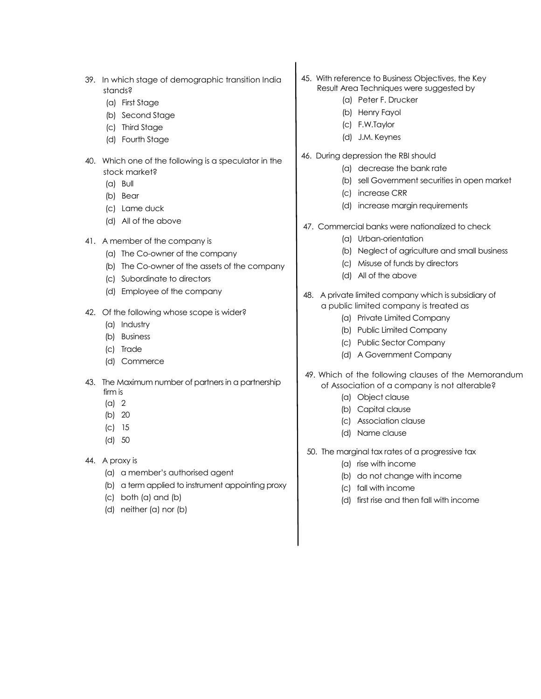- 39. In which stage of demographic transition India stands?
	- (a) First Stage
	- (b) Second Stage
	- (c) Third Stage
	- (d) Fourth Stage
- 40. Which one of the following is a speculator in the stock market?
	- (a) Bull
	- (b) Bear
	- (c) Lame duck
	- (d) All of the above
- 41. A member of the company is
	- (a) The Co-owner of the company
	- (b) The Co-owner of the assets of the company
	- (c) Subordinate to directors
	- (d) Employee of the company
- 42. Of the following whose scope is wider?
	- (a) Industry
	- (b) Business
	- (c) Trade
	- (d) Commerce
- 43. The Maximum number of partners in a partnership firm is
	- (a) 2
	- (b) 20
	- (c) 15
	- (d) 50
- 44. A proxy is
	- (a) a member"s authorised agent
	- (b) a term applied to instrument appointing proxy
	- (c) both (a) and (b)
	- (d) neither (a) nor (b)
- 45. With reference to Business Objectives, the Key Result Area Techniques were suggested by
	- (a) Peter F. Drucker
	- (b) Henry Fayol
	- (c) F.W.Taylor
	- (d) J.M. Keynes
- 46. During depression the RBI should
	- (a) decrease the bank rate
	- (b) sell Government securities in open market
	- (c) increase CRR
	- (d) increase margin requirements
- 47. Commercial banks were nationalized to check
	- (a) Urban-orientation
	- (b) Neglect of agriculture and small business
	- (c) Misuse of funds by directors
	- (d) All of the above
- 48. A private limited company which is subsidiary of a public limited company is treated as
	- (a) Private Limited Company
	- (b) Public Limited Company
	- (c) Public Sector Company
	- (d) A Government Company
- 49. Which of the following clauses of the Memorandum of Association of a company is not alterable?
	- (a) Object clause
	- (b) Capital clause
	- (c) Association clause
	- (d) Name clause
- 50. The marginal tax rates of a progressive tax
	- (a) rise with income
	- (b) do not change with income
	- (c) fall with income
	- (d) first rise and then fall with income